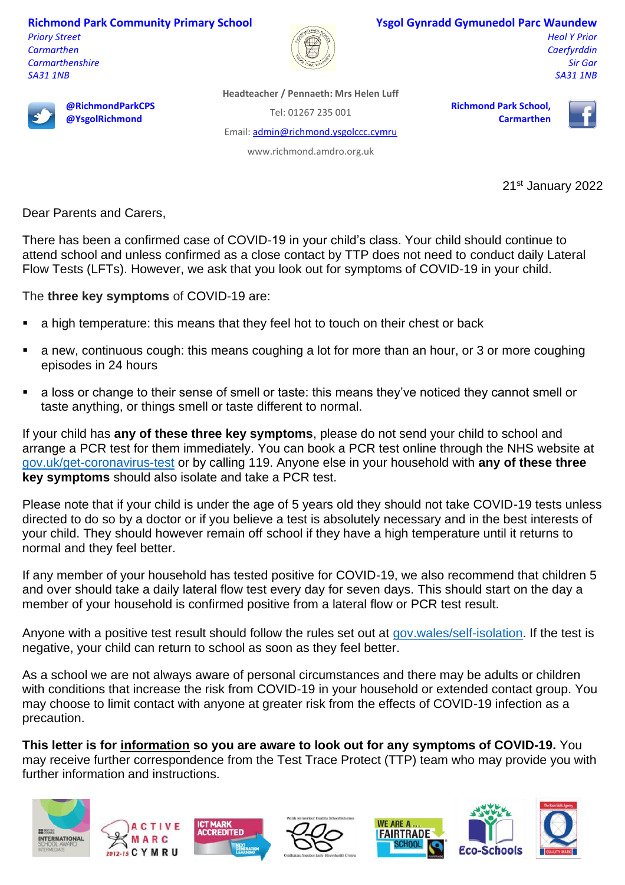**Richmond Park Community Primary School**

*Priory Street Carmarthen Carmarthenshire SA31 1NB*



## **Ysgol Gynradd Gymunedol Parc Waundew**

*Heol Y Prior Caerfyrddin Sir Gar SA31 1NB*



**@RichmondParkCPS @YsgolRichmond**

**Headteacher / Pennaeth: Mrs Helen Luff**

Tel: 01267 235 001

Email[: admin@richmond.ysgolccc.cymru](mailto:admin@richmond.ysgolccc.cymru)

www.richmond.amdro.org.uk

**Richmond Park School, Carmarthen**



21st January 2022

Dear Parents and Carers,

There has been a confirmed case of COVID-19 in your child's class. Your child should continue to attend school and unless confirmed as a close contact by TTP does not need to conduct daily Lateral Flow Tests (LFTs). However, we ask that you look out for symptoms of COVID-19 in your child.

The **three key symptoms** of COVID-19 are:

- a high temperature: this means that they feel hot to touch on their chest or back
- a new, continuous cough: this means coughing a lot for more than an hour, or 3 or more coughing episodes in 24 hours
- a loss or change to their sense of smell or taste: this means they've noticed they cannot smell or taste anything, or things smell or taste different to normal.

If your child has **any of these three key symptoms**, please do not send your child to school and arrange a PCR test for them immediately. You can book a PCR test online through the NHS website at [gov.uk/get-coronavirus-test](http://www.gov.uk/get-coronavirus-test%20or%20by%20calling%20119) or by calling 119. Anyone else in your household with **any of these three key symptoms** should also isolate and take a PCR test.

Please note that if your child is under the age of 5 years old they should not take COVID-19 tests unless directed to do so by a doctor or if you believe a test is absolutely necessary and in the best interests of your child. They should however remain off school if they have a high temperature until it returns to normal and they feel better.

If any member of your household has tested positive for COVID-19, we also recommend that children 5 and over should take a daily lateral flow test every day for seven days. This should start on the day a member of your household is confirmed positive from a lateral flow or PCR test result.

Anyone with a positive test result should follow the rules set out at [gov.wales/self-isolation.](http://www.gov.wales/self-isolation) If the test is negative, your child can return to school as soon as they feel better.

As a school we are not always aware of personal circumstances and there may be adults or children with conditions that increase the risk from COVID-19 in your household or extended contact group. You may choose to limit contact with anyone at greater risk from the effects of COVID-19 infection as a precaution.

**This letter is for information so you are aware to look out for any symptoms of COVID-19.** You may receive further correspondence from the Test Trace Protect (TTP) team who may provide you with further information and instructions.







**IARK** 

**CREDITED**